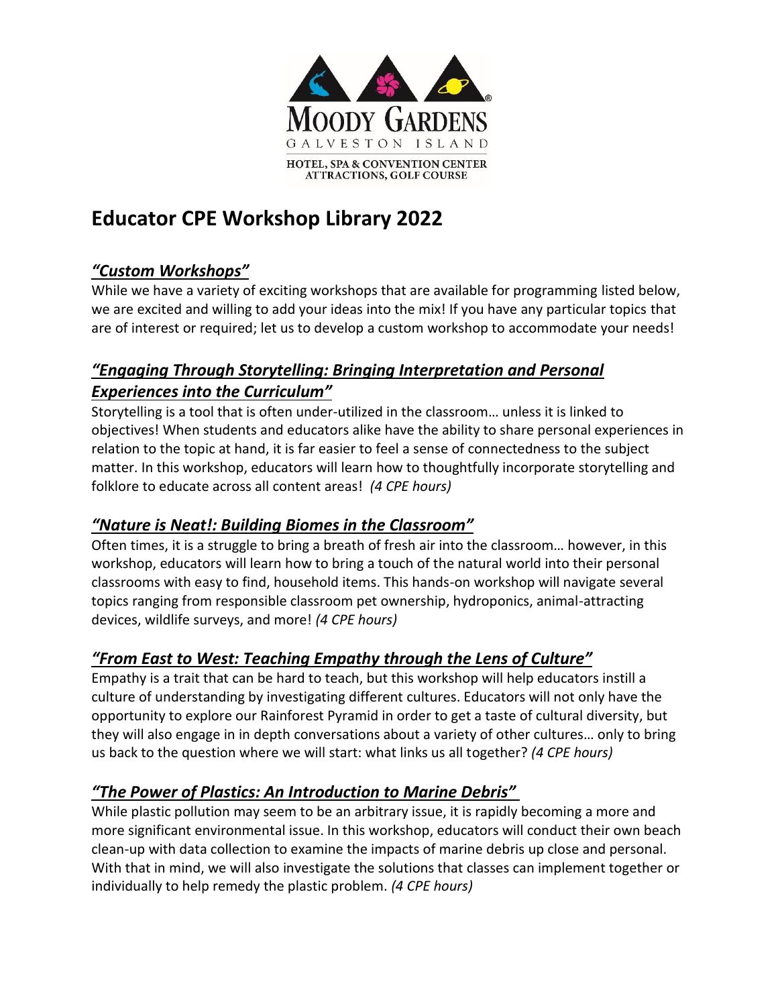

# **Educator CPE Workshop Library 2022**

# *"Custom Workshops"*

While we have a variety of exciting workshops that are available for programming listed below, we are excited and willing to add your ideas into the mix! If you have any particular topics that are of interest or required; let us to develop a custom workshop to accommodate your needs!

## *"Engaging Through Storytelling: Bringing Interpretation and Personal Experiences into the Curriculum"*

Storytelling is a tool that is often under-utilized in the classroom… unless it is linked to objectives! When students and educators alike have the ability to share personal experiences in relation to the topic at hand, it is far easier to feel a sense of connectedness to the subject matter. In this workshop, educators will learn how to thoughtfully incorporate storytelling and folklore to educate across all content areas! *(4 CPE hours)*

#### *"Nature is Neat!: Building Biomes in the Classroom"*

Often times, it is a struggle to bring a breath of fresh air into the classroom… however, in this workshop, educators will learn how to bring a touch of the natural world into their personal classrooms with easy to find, household items. This hands-on workshop will navigate several topics ranging from responsible classroom pet ownership, hydroponics, animal-attracting devices, wildlife surveys, and more! *(4 CPE hours)*

#### *"From East to West: Teaching Empathy through the Lens of Culture"*

Empathy is a trait that can be hard to teach, but this workshop will help educators instill a culture of understanding by investigating different cultures. Educators will not only have the opportunity to explore our Rainforest Pyramid in order to get a taste of cultural diversity, but they will also engage in in depth conversations about a variety of other cultures… only to bring us back to the question where we will start: what links us all together? *(4 CPE hours)*

#### *"The Power of Plastics: An Introduction to Marine Debris"*

While plastic pollution may seem to be an arbitrary issue, it is rapidly becoming a more and more significant environmental issue. In this workshop, educators will conduct their own beach clean-up with data collection to examine the impacts of marine debris up close and personal. With that in mind, we will also investigate the solutions that classes can implement together or individually to help remedy the plastic problem. *(4 CPE hours)*